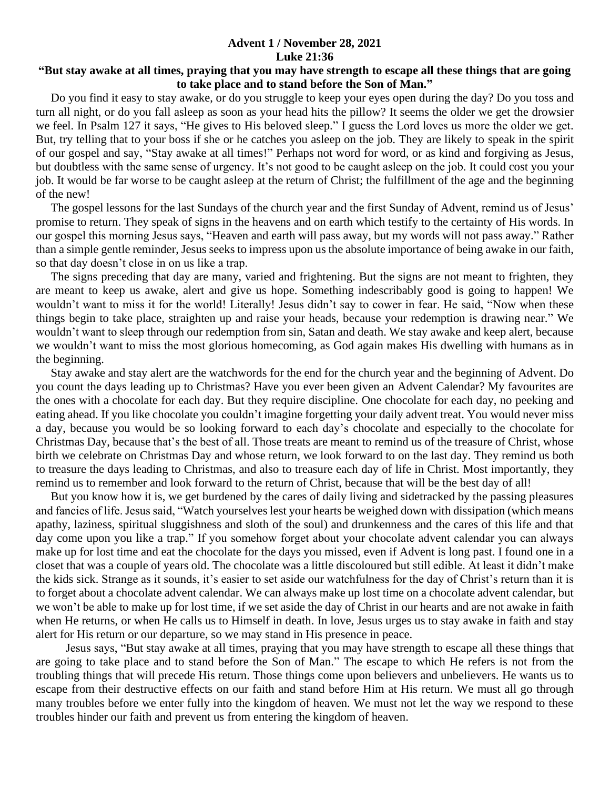## **Advent 1 / November 28, 2021 Luke 21:36**

## **"But stay awake at all times, praying that you may have strength to escape all these things that are going to take place and to stand before the Son of Man."**

 Do you find it easy to stay awake, or do you struggle to keep your eyes open during the day? Do you toss and turn all night, or do you fall asleep as soon as your head hits the pillow? It seems the older we get the drowsier we feel. In Psalm 127 it says, "He gives to His beloved sleep." I guess the Lord loves us more the older we get. But, try telling that to your boss if she or he catches you asleep on the job. They are likely to speak in the spirit of our gospel and say, "Stay awake at all times!" Perhaps not word for word, or as kind and forgiving as Jesus, but doubtless with the same sense of urgency. It's not good to be caught asleep on the job. It could cost you your job. It would be far worse to be caught asleep at the return of Christ; the fulfillment of the age and the beginning of the new!

 The gospel lessons for the last Sundays of the church year and the first Sunday of Advent, remind us of Jesus' promise to return. They speak of signs in the heavens and on earth which testify to the certainty of His words. In our gospel this morning Jesus says, "Heaven and earth will pass away, but my words will not pass away." Rather than a simple gentle reminder, Jesus seeks to impress upon us the absolute importance of being awake in our faith, so that day doesn't close in on us like a trap.

 The signs preceding that day are many, varied and frightening. But the signs are not meant to frighten, they are meant to keep us awake, alert and give us hope. Something indescribably good is going to happen! We wouldn't want to miss it for the world! Literally! Jesus didn't say to cower in fear. He said, "Now when these things begin to take place, straighten up and raise your heads, because your redemption is drawing near." We wouldn't want to sleep through our redemption from sin, Satan and death. We stay awake and keep alert, because we wouldn't want to miss the most glorious homecoming, as God again makes His dwelling with humans as in the beginning.

 Stay awake and stay alert are the watchwords for the end for the church year and the beginning of Advent. Do you count the days leading up to Christmas? Have you ever been given an Advent Calendar? My favourites are the ones with a chocolate for each day. But they require discipline. One chocolate for each day, no peeking and eating ahead. If you like chocolate you couldn't imagine forgetting your daily advent treat. You would never miss a day, because you would be so looking forward to each day's chocolate and especially to the chocolate for Christmas Day, because that's the best of all. Those treats are meant to remind us of the treasure of Christ, whose birth we celebrate on Christmas Day and whose return, we look forward to on the last day. They remind us both to treasure the days leading to Christmas, and also to treasure each day of life in Christ. Most importantly, they remind us to remember and look forward to the return of Christ, because that will be the best day of all!

 But you know how it is, we get burdened by the cares of daily living and sidetracked by the passing pleasures and fancies of life. Jesus said, "Watch yourselves lest your hearts be weighed down with dissipation (which means apathy, laziness, spiritual sluggishness and sloth of the soul) and drunkenness and the cares of this life and that day come upon you like a trap." If you somehow forget about your chocolate advent calendar you can always make up for lost time and eat the chocolate for the days you missed, even if Advent is long past. I found one in a closet that was a couple of years old. The chocolate was a little discoloured but still edible. At least it didn't make the kids sick. Strange as it sounds, it's easier to set aside our watchfulness for the day of Christ's return than it is to forget about a chocolate advent calendar. We can always make up lost time on a chocolate advent calendar, but we won't be able to make up for lost time, if we set aside the day of Christ in our hearts and are not awake in faith when He returns, or when He calls us to Himself in death. In love, Jesus urges us to stay awake in faith and stay alert for His return or our departure, so we may stand in His presence in peace.

 Jesus says, "But stay awake at all times, praying that you may have strength to escape all these things that are going to take place and to stand before the Son of Man." The escape to which He refers is not from the troubling things that will precede His return. Those things come upon believers and unbelievers. He wants us to escape from their destructive effects on our faith and stand before Him at His return. We must all go through many troubles before we enter fully into the kingdom of heaven. We must not let the way we respond to these troubles hinder our faith and prevent us from entering the kingdom of heaven.